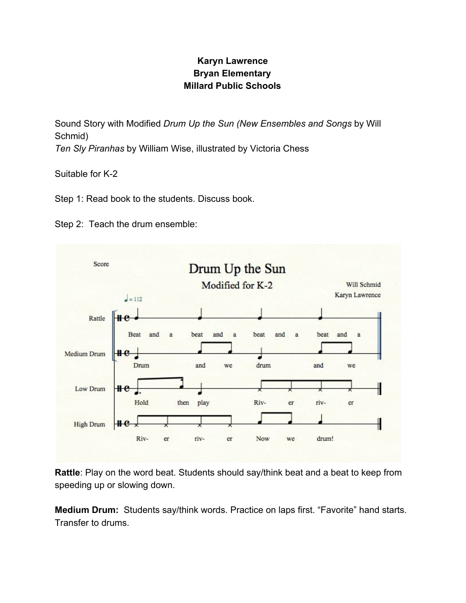## **Karyn Lawrence Bryan Elementary Millard Public Schools**

Sound Story with Modified *Drum Up the Sun (New Ensembles and Songs* by Will Schmid) *Ten Sly Piranhas* by William Wise, illustrated by Victoria Chess

Suitable for K-2

Step 1: Read book to the students. Discuss book.

Step 2: Teach the drum ensemble:



**Rattle**: Play on the word beat. Students should say/think beat and a beat to keep from speeding up or slowing down.

**Medium Drum:** Students say/think words. Practice on laps first. "Favorite" hand starts. Transfer to drums.